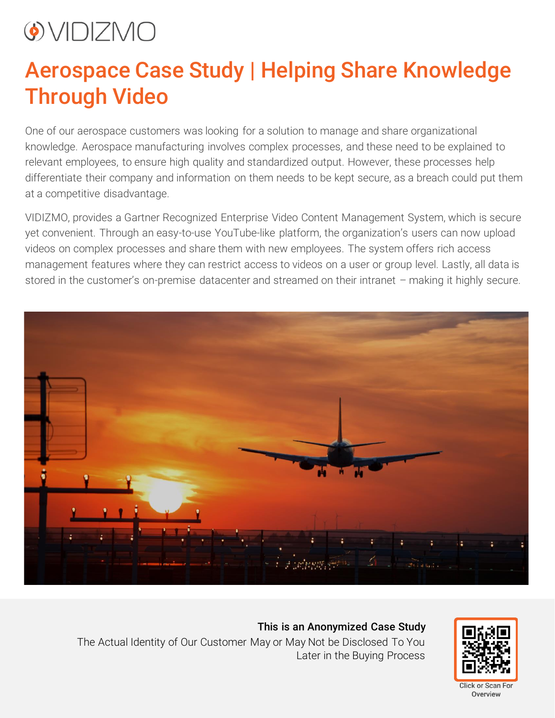## $\bigcirc$  VIDIZMO

## Aerospace Case Study | Helping Share Knowledge Through Video

One of our aerospace customers was looking for a solution to manage and share organizational knowledge. Aerospace manufacturing involves complex processes, and these need to be explained to relevant employees, to ensure high quality and standardized output. However, these processes help differentiate their company and information on them needs to be kept secure, as a breach could put them at a competitive disadvantage.

VIDIZMO, provides a Gartner Recognized Enterprise Video Content Management System, which is secure yet convenient. Through an easy-to-use YouTube-like platform, the organization's users can now upload videos on complex processes and share them with new employees. The system offers rich access management features where they can restrict access to videos on a user or group level. Lastly, all data is stored in the customer's on-premise datacenter and streamed on their intranet – making it highly secure.



This is an Anonymized Case Study The Actual Identity of Our Customer May or May Not be Disclosed To You Later in the Buying Process